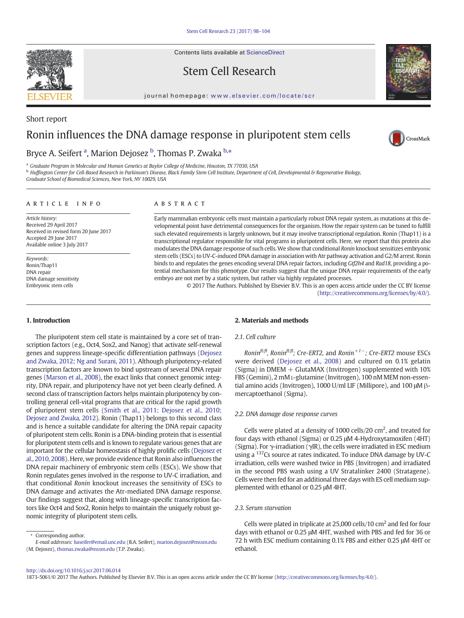Contents lists available at ScienceDirect

# Stem Cell Research

journal homepage: <www.elsevier.com/locate/scr>

# Ronin influences the DNA damage response in pluripotent stem cells

## Bryce A. Seifert <sup>a</sup>, Marion Dejosez <sup>b</sup>, Thomas P. Zwaka <sup>b,</sup>\*

<sup>a</sup> Graduate Program in Molecular and Human Genetics at Baylor College of Medicine, Houston, TX 77030, USA

<sup>b</sup> Huffington Center for Cell-Based Research in Parkinson's Disease, Black Family Stem Cell Institute, Department of Cell, Developmental & Regenerative Biology,

Graduate School of Biomedical Sciences, New York, NY 10029, USA

#### article info abstract

Article history: Received 29 April 2017 Received in revised form 20 June 2017 Accepted 29 June 2017 Available online 3 July 2017

Keywords: Ronin/Thap11 DNA repair DNA damage sensitivity Embryonic stem cells

Early mammalian embryonic cells must maintain a particularly robust DNA repair system, as mutations at this developmental point have detrimental consequences for the organism. How the repair system can be tuned to fulfill such elevated requirements is largely unknown, but it may involve transcriptional regulation. Ronin (Thap11) is a transcriptional regulator responsible for vital programs in pluripotent cells. Here, we report that this protein also modulates the DNA damage response of such cells. We show that conditional Ronin knockout sensitizes embryonic stem cells (ESCs) to UV-C-induced DNA damage in association with Atr pathway activation and G2/M arrest. Ronin binds to and regulates the genes encoding several DNA repair factors, including Gtf2h4 and Rad18, providing a potential mechanism for this phenotype. Our results suggest that the unique DNA repair requirements of the early embryo are not met by a static system, but rather via highly regulated processes.

> © 2017 The Authors. Published by Elsevier B.V. This is an open access article under the CC BY license [\(http://creativecommons.org/licenses/by/4.0/](http://creativecommons.org/licenses/by/4.0/)).

#### 1. Introduction

The pluripotent stem cell state is maintained by a core set of transcription factors (e.g., Oct4, Sox2, and Nanog) that activate self-renewal genes and suppress lineage-specific differentiation pathways [\(Dejosez](#page-5-0) [and Zwaka, 2012; Ng and Surani, 2011](#page-5-0)). Although pluripotency-related transcription factors are known to bind upstream of several DNA repair genes [\(Marson et al., 2008](#page-6-0)), the exact links that connect genomic integrity, DNA repair, and pluripotency have not yet been clearly defined. A second class of transcription factors helps maintain pluripotency by controlling general cell-vital programs that are critical for the rapid growth of pluripotent stem cells ([Smith et al., 2011; Dejosez et al., 2010;](#page-6-0) [Dejosez and Zwaka, 2012\)](#page-6-0). Ronin (Thap11) belongs to this second class and is hence a suitable candidate for altering the DNA repair capacity of pluripotent stem cells. Ronin is a DNA-binding protein that is essential for pluripotent stem cells and is known to regulate various genes that are important for the cellular homeostasis of highly prolific cells ([Dejosez et](#page-5-0) [al., 2010, 2008](#page-5-0)). Here, we provide evidence that Ronin also influences the DNA repair machinery of embryonic stem cells (ESCs). We show that Ronin regulates genes involved in the response to UV-C irradiation, and that conditional Ronin knockout increases the sensitivity of ESCs to DNA damage and activates the Atr-mediated DNA damage response. Our findings suggest that, along with lineage-specific transcription factors like Oct4 and Sox2, Ronin helps to maintain the uniquely robust genomic integrity of pluripotent stem cells.

⁎ Corresponding author.

#### 2. Materials and methods

#### 2.1. Cell culture

Ronin<sup>fl/fl</sup>, Ronin<sup>fl/fl</sup>; Cre-ERT2, and Ronin<sup>+1–</sup>; Cre-ERT2 mouse ESCs were derived [\(Dejosez et al., 2008](#page-5-0)) and cultured on 0.1% gelatin (Sigma) in DMEM + GlutaMAX (Invitrogen) supplemented with 10% FBS (Gemini), 2 mM L-glutamine (Invitrogen), 100 nM MEM non-essential amino acids (Invitrogen), 1000 U/ml LIF (Millipore), and 100 μM βmercaptoethanol (Sigma).

#### 2.2. DNA damage dose response curves

Cells were plated at a density of 1000 cells/20  $\text{cm}^2$ , and treated for four days with ethanol (Sigma) or 0.25 μM 4-Hydroxytamoxifen (4HT) (Sigma). For γ-irradiation (γIR), the cells were irradiated in ESC medium using a <sup>137</sup>Cs source at rates indicated. To induce DNA damage by UV-C irradiation, cells were washed twice in PBS (Invitrogen) and irradiated in the second PBS wash using a UV Stratalinker 2400 (Stratagene). Cells were then fed for an additional three days with ES cell medium supplemented with ethanol or 0.25 μM 4HT.

#### 2.3. Serum starvation

Cells were plated in triplicate at 25,000 cells/10 cm2 and fed for four days with ethanol or 0.25 μM 4HT, washed with PBS and fed for 36 or 72 h with ESC medium containing 0.1% FBS and either 0.25 μM 4HT or ethanol.

1873-5061/© 2017 The Authors. Published by Elsevier B.V. This is an open access article under the CC BY license [\(http://creativecommons.org/licenses/by/4.0/\)](http://creativecommons.org/licenses/by/4.0/).



Short report





E-mail addresses: baseifer@email.unc.edu (B.A. Seifert), marion.dejosez@mssm.edu (M. Dejosez), [thomas.zwaka@mssm.edu](mailto:thomas.zwaka@mssm.edu) (T.P. Zwaka).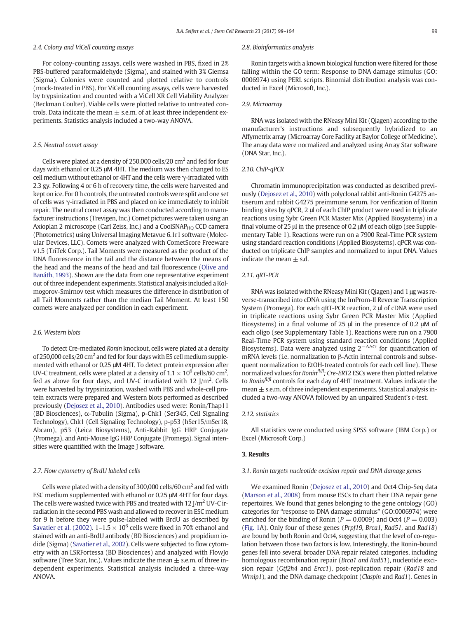#### 2.4. Colony and ViCell counting assays

For colony-counting assays, cells were washed in PBS, fixed in 2% PBS-buffered paraformaldehyde (Sigma), and stained with 3% Giemsa (Sigma). Colonies were counted and plotted relative to controls (mock-treated in PBS). For ViCell counting assays, cells were harvested by trypsinization and counted with a ViCell XR Cell Viability Analyzer (Beckman Coulter). Viable cells were plotted relative to untreated controls. Data indicate the mean  $\pm$  s.e.m. of at least three independent experiments. Statistics analysis included a two-way ANOVA.

#### 2.5. Neutral comet assay

Cells were plated at a density of 250,000 cells/20  $\text{cm}^2$  and fed for four days with ethanol or 0.25 μM 4HT. The medium was then changed to ES cell medium without ethanol or 4HT and the cells were γ-irradiated with 2.3 gy. Following 4 or 6 h of recovery time, the cells were harvested and kept on ice. For 0 h controls, the untreated controls were split and one set of cells was γ-irradiated in PBS and placed on ice immediately to inhibit repair. The neutral comet assay was then conducted according to manufacturer instructions (Trevigen, Inc.) Comet pictures were taken using an Axioplan 2 microscope (Carl Zeiss, Inc.) and a CoolSNAP $_{HO}$  CCD camera (Photometrics) using Universal Imaging Metavue 6.1r1 software (Molecular Devices, LLC). Comets were analyzed with CometScore Freeware v1.5 (TriTek Corp.). Tail Moments were measured as the product of the DNA fluorescence in the tail and the distance between the means of the head and the means of the head and tail fluorescence ([Olive and](#page-6-0) [Banáth, 1993](#page-6-0)). Shown are the data from one representative experiment out of three independent experiments. Statistical analysis included a Kolmogorov-Smirnov test which measures the difference in distribution of all Tail Moments rather than the median Tail Moment. At least 150 comets were analyzed per condition in each experiment.

#### 2.6. Western blots

To detect Cre-mediated Ronin knockout, cells were plated at a density of 250,000 cells/20 cm2 and fed for four days with ES cell medium supplemented with ethanol or 0.25 μM 4HT. To detect protein expression after UV-C treatment, cells were plated at a density of 1.1  $\times$  10<sup>6</sup> cells/60 cm<sup>2</sup>, fed as above for four days, and UV-C irradiated with 12 J/m<sup>2</sup>. Cells were harvested by trypsinization, washed with PBS and whole-cell protein extracts were prepared and Western blots performed as described previously [\(Dejosez et al., 2010\)](#page-5-0). Antibodies used were: Ronin/Thap11 (BD Biosciences), α-Tubulin (Sigma), p-Chk1 (Ser345, Cell Signaling Technology), Chk1 (Cell Signaling Technology), p-p53 (hSer15/mSer18, Abcam), p53 (Leica Biosystems), Anti-Rabbit IgG HRP Conjugate (Promega), and Anti-Mouse IgG HRP Conjugate (Promega). Signal intensities were quantified with the Image J software.

#### 2.7. Flow cytometry of BrdU labeled cells

Cells were plated with a density of 300,000 cells/60  $\text{cm}^2$  and fed with ESC medium supplemented with ethanol or 0.25 μM 4HT for four days. The cells were washed twice with PBS and treated with 12 J/m<sup>2</sup> UV-C irradiation in the second PBS wash and allowed to recover in ESC medium for 9 h before they were pulse-labeled with BrdU as described by [Savatier et al. \(2002\)](#page-6-0).  $1-1.5 \times 10^6$  cells were fixed in 70% ethanol and stained with an anti-BrdU antibody (BD Biosciences) and propidium iodide (Sigma) [\(Savatier et al., 2002](#page-6-0)). Cells were subjected to flow cytometry with an LSRFortessa (BD Biosciences) and analyzed with FlowJo software (Tree Star, Inc.). Values indicate the mean  $\pm$  s.e.m. of three independent experiments. Statistical analysis included a three-way ANOVA.

#### 2.8. Bioinformatics analysis

Ronin targets with a known biological function were filtered for those falling within the GO term: Response to DNA damage stimulus (GO: 0006974) using PERL scripts. Binomial distribution analysis was conducted in Excel (Microsoft, Inc.).

#### 2.9. Microarray

RNA was isolated with the RNeasy Mini Kit (Qiagen) according to the manufacturer's instructions and subsequently hybridized to an Affymetrix array (Microarray Core Facility at Baylor College of Medicine). The array data were normalized and analyzed using Array Star software (DNA Star, Inc.).

#### 2.10. ChIP-qPCR

Chromatin immunoprecipitation was conducted as described previously [\(Dejosez et al., 2010](#page-5-0)) with polyclonal rabbit anti-Ronin G4275 antiserum and rabbit G4275 preimmune serum. For verification of Ronin binding sites by qPCR, 2 μl of each ChIP product were used in triplicate reactions using Sybr Green PCR Master Mix (Applied Biosystems) in a final volume of 25 μl in the presence of 0.2 μM of each oligo (see Supplementary Table 1). Reactions were run on a 7900 Real-Time PCR system using standard reaction conditions (Applied Biosystems). qPCR was conducted on triplicate ChIP samples and normalized to input DNA. Values indicate the mean  $\pm$  s.d.

#### 2.11. qRT-PCR

RNA was isolated with the RNeasy Mini Kit (Qiagen) and 1 μg was reverse-transcribed into cDNA using the ImProm-II Reverse Transcription System (Promega). For each qRT-PCR reaction, 2 μl of cDNA were used in triplicate reactions using Sybr Green PCR Master Mix (Applied Biosystems) in a final volume of 25 μl in the presence of 0.2 μM of each oligo (see Supplementary Table 1). Reactions were run on a 7900 Real-Time PCR system using standard reaction conditions (Applied Biosystems). Data were analyzed using  $2^{-\Delta\Delta Ct}$  for quantification of mRNA levels (i.e. normalization to β-Actin internal controls and subsequent normalization to EtOH-treated controls for each cell line). These normalized values for Ronin<sup>fl/fl</sup>; Cre-ERT2 ESCs were then plotted relative to Ronin<sup> $f$  $/f$ </sup> controls for each day of 4HT treatment. Values indicate the mean  $\pm$  s.e.m. of three independent experiments. Statistical analysis included a two-way ANOVA followed by an unpaired Student's t-test.

#### 2.12. statistics

All statistics were conducted using SPSS software (IBM Corp.) or Excel (Microsoft Corp.)

#### 3. Results

#### 3.1. Ronin targets nucleotide excision repair and DNA damage genes

We examined Ronin ([Dejosez et al., 2010](#page-5-0)) and Oct4 Chip-Seq data [\(Marson et al., 2008](#page-6-0)) from mouse ESCs to chart their DNA repair gene repertoires. We found that genes belonging to the gene ontology (GO) categories for "response to DNA damage stimulus" (GO:0006974) were enriched for the binding of Ronin ( $P = 0.0009$ ) and Oct4 ( $P = 0.003$ ) [\(Fig. 1A](#page-2-0)). Only four of these genes (Prpf19, Brca1, Rad51, and Rad18) are bound by both Ronin and Oct4, suggesting that the level of co-regulation between those two factors is low. Interestingly, the Ronin-bound genes fell into several broader DNA repair related categories, including homologous recombination repair (Brca1 and Rad51), nucleotide excision repair (Gtf2h4 and Ercc1), post-replication repair (Rad18 and Wrnip1), and the DNA damage checkpoint (Claspin and Rad1). Genes in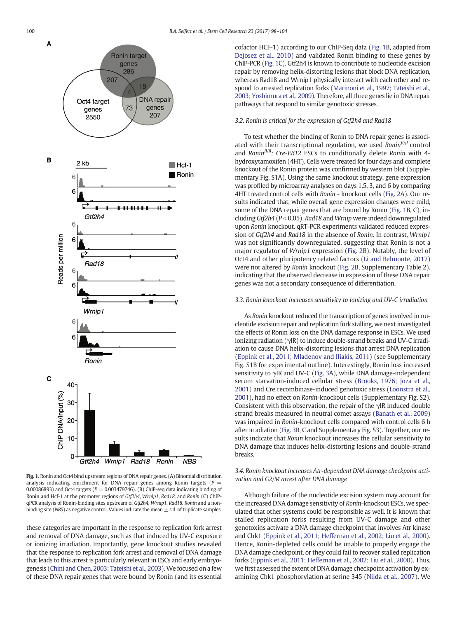<span id="page-2-0"></span>

cofactor HCF-1) according to our ChIP-Seq data (Fig. 1B, adapted from [Dejosez et al., 2010\)](#page-5-0) and validated Ronin binding to these genes by ChIP-PCR (Fig. 1C). Gtf2h4 is known to contribute to nucleotide excision repair by removing helix-distorting lesions that block DNA replication, whereas Rad18 and Wrnip1 physically interact with each other and respond to arrested replication forks ([Marinoni et al., 1997; Tateishi et al.,](#page-5-0) [2003; Yoshimura et al., 2009](#page-5-0)). Therefore, all three genes lie in DNA repair pathways that respond to similar genotoxic stresses.

#### 3.2. Ronin is critical for the expression of Gtf2h4 and Rad18

To test whether the binding of Ronin to DNA repair genes is associated with their transcriptional regulation, we used Ronin $f^{f/f}$  control and Ronin $f^{f/f}$ ; Cre-ERT2 ESCs to conditionally delete Ronin with 4hydroxytamoxifen (4HT). Cells were treated for four days and complete knockout of the Ronin protein was confirmed by western blot (Supplementary Fig. S1A). Using the same knockout strategy, gene expression was profiled by microarray analyses on days 1.5, 3, and 6 by comparing 4HT treated control cells with Ronin - knockout cells [\(Fig. 2](#page-3-0)A). Our results indicated that, while overall gene expression changes were mild, some of the DNA repair genes that are bound by Ronin (Fig. 1B, C), including  $Gt/2h4$  ( $P < 0.05$ ), Rad18 and Wrnip were indeed downregulated upon Ronin knockout. qRT-PCR experiments validated reduced expression of Gtf2h4 and Rad18 in the absence of Ronin. In contrast, Wrnip1 was not significantly downregulated, suggesting that Ronin is not a major regulator of Wrnip1 expression [\(Fig. 2B](#page-3-0)). Notably, the level of Oct4 and other pluripotency related factors ([Li and Belmonte, 2017](#page-5-0)) were not altered by Ronin knockout [\(Fig. 2B](#page-3-0), Supplementary Table 2), indicating that the observed decrease in expression of these DNA repair genes was not a secondary consequence of differentiation.

#### 3.3. Ronin knockout increases sensitivity to ionizing and UV-C irradiation

As Ronin knockout reduced the transcription of genes involved in nucleotide excision repair and replication fork stalling, we next investigated the effects of Ronin loss on the DNA damage response in ESCs. We used ionizing radiation (γIR) to induce double-strand breaks and UV-C irradiation to cause DNA helix-distorting lesions that arrest DNA replication [\(Eppink et al., 2011; Mladenov and Iliakis, 2011](#page-5-0)) (see Supplementary Fig. S1B for experimental outline). Interestingly, Ronin loss increased sensitivity to γIR and UV-C ([Fig. 3A](#page-4-0)), while DNA damage-independent serum starvation-induced cellular stress [\(Brooks, 1976; Joza et al.,](#page-5-0) [2001\)](#page-5-0) and Cre recombinase-induced genotoxic stress [\(Loonstra et al.,](#page-5-0) [2001\)](#page-5-0), had no effect on Ronin-knockout cells (Supplementary Fig. S2). Consistent with this observation, the repair of the γIR induced double strand breaks measured in neutral comet assays [\(Banath et al., 2009](#page-5-0)) was impaired in Ronin-knockout cells compared with control cells 6 h after irradiation ([Fig. 3B](#page-4-0), C and Supplementary Fig. S3). Together, our results indicate that Ronin knockout increases the cellular sensitivity to DNA damage that induces helix-distorting lesions and double-strand breaks.

### 3.4. Ronin knockout increases Atr-dependent DNA damage checkpoint activation and G2/M arrest after DNA damage

Although failure of the nucleotide excision system may account for the increased DNA damage sensitivity of Ronin-knockout ESCs, we speculated that other systems could be responsible as well. It is known that stalled replication forks resulting from UV-C damage and other genotoxins activate a DNA damage checkpoint that involves Atr kinase and Chk1 [\(Eppink et al., 2011; Heffernan et al., 2002; Liu et al., 2000](#page-5-0)). Hence, Ronin-depleted cells could be unable to properly engage the DNA damage checkpoint, or they could fail to recover stalled replication forks [\(Eppink et al., 2011; Heffernan et al., 2002; Liu et al., 2000\)](#page-5-0). Thus, we first assessed the extent of DNA damage checkpoint activation by examining Chk1 phosphorylation at serine 345 ([Niida et al., 2007\)](#page-6-0). We

Fig. 1. Ronin and Oct4 bind upstream regions of DNA repair genes. (A) Binomial distribution analysis indicating enrichment for DNA repair genes among Ronin targets ( $P =$ 0.00086893) and Oct4 targets ( $P = 0.003479746$ ). (B) ChIP-seq data indicating binding of Ronin and Hcf-1 at the promoter regions of Gtf2h4, Wrnip1, Rad18, and Ronin (C) ChIPqPCR analysis of Ronin-binding sites upstream of Gtf2h4, Wrnip1, Rad18, Ronin and a nonbinding site (NBS) as negative control. Values indicate the mean  $\pm$  s.d. of triplicate samples.

Ronin

**NBS** 

these categories are important in the response to replication fork arrest and removal of DNA damage, such as that induced by UV-C exposure or ionizing irradiation. Importantly, gene knockout studies revealed that the response to replication fork arrest and removal of DNA damage that leads to this arrest is particularly relevant in ESCs and early embryogenesis [\(Chini and Chen, 2003; Tateishi et al., 2003](#page-5-0)). We focused on a few of these DNA repair genes that were bound by Ronin (and its essential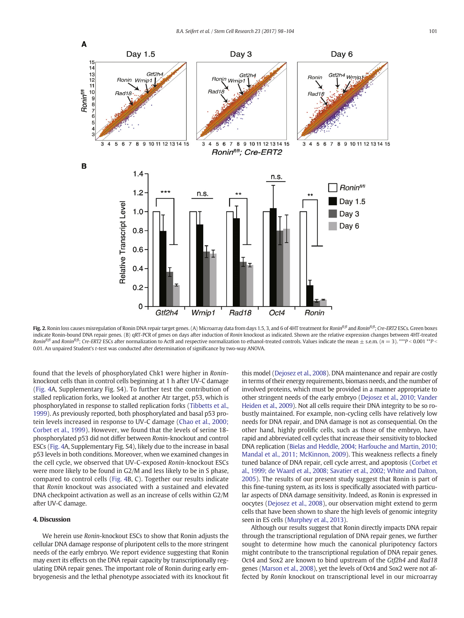<span id="page-3-0"></span>

**Fig. 2.** Ronin loss causes misregulation of Ronin DNA repair target genes. (A) Microarray data from days 1.5, 3, and 6 of 4HT treatment for *Ronin<sup>n fig</sup>l* and Ronin<sup>n/if</sup>, Cre-ERT2 ESCs. Green boxes indicate Ronin-bound DNA repair genes. (B) qRT-PCR of genes on days after induction of Ronin knockout as indicated. Shown are the relative expression changes between 4HT-treated Ronin<sup>fl/fl</sup> and Ronin<sup>fl/fl</sup>; Cre-ERT2 ESCs after normalization to ActB and respective normalization to ethanol-treated controls. Values indicate the mean  $\pm$  s.e.m. (n = 3). \*\*\*P < 0.001 \*\*P < 0.01. An unpaired Student's t-test was conducted after determination of significance by two-way ANOVA.

found that the levels of phosphorylated Chk1 were higher in Roninknockout cells than in control cells beginning at 1 h after UV-C damage [\(Fig. 4](#page-5-0)A, Supplementary Fig. S4). To further test the contribution of stalled replication forks, we looked at another Atr target, p53, which is phosphorylated in response to stalled replication forks ([Tibbetts et al.,](#page-6-0) [1999](#page-6-0)). As previously reported, both phosphorylated and basal p53 protein levels increased in response to UV-C damage ([Chao et al., 2000;](#page-5-0) [Corbet et al., 1999\)](#page-5-0). However, we found that the levels of serine 18 phosphorylated p53 did not differ between Ronin-knockout and control ESCs [\(Fig. 4A](#page-5-0), Supplementary Fig. S4), likely due to the increase in basal p53 levels in both conditions. Moreover, when we examined changes in the cell cycle, we observed that UV-C-exposed Ronin-knockout ESCs were more likely to be found in G2/M and less likely to be in S phase, compared to control cells ([Fig. 4B](#page-5-0), C). Together our results indicate that Ronin knockout was associated with a sustained and elevated DNA checkpoint activation as well as an increase of cells within G2/M after UV-C damage.

#### 4. Discussion

We herein use Ronin-knockout ESCs to show that Ronin adjusts the cellular DNA damage response of pluripotent cells to the more stringent needs of the early embryo. We report evidence suggesting that Ronin may exert its effects on the DNA repair capacity by transcriptionally regulating DNA repair genes. The important role of Ronin during early embryogenesis and the lethal phenotype associated with its knockout fit this model ([Dejosez et al., 2008\)](#page-5-0). DNA maintenance and repair are costly in terms of their energy requirements, biomass needs, and the number of involved proteins, which must be provided in a manner appropriate to other stringent needs of the early embryo [\(Dejosez et al., 2010; Vander](#page-5-0) [Heiden et al., 2009\)](#page-5-0). Not all cells require their DNA integrity to be so robustly maintained. For example, non-cycling cells have relatively low needs for DNA repair, and DNA damage is not as consequential. On the other hand, highly prolific cells, such as those of the embryo, have rapid and abbreviated cell cycles that increase their sensitivity to blocked DNA replication ([Bielas and Heddle, 2004; Harfouche and Martin, 2010;](#page-5-0) [Mandal et al., 2011; McKinnon, 2009](#page-5-0)). This weakness reflects a finely tuned balance of DNA repair, cell cycle arrest, and apoptosis [\(Corbet et](#page-5-0) [al., 1999; de Waard et al., 2008; Savatier et al., 2002; White and Dalton,](#page-5-0) [2005\)](#page-5-0). The results of our present study suggest that Ronin is part of this fine-tuning system, as its loss is specifically associated with particular aspects of DNA damage sensitivity. Indeed, as Ronin is expressed in oocytes ([Dejosez et al., 2008](#page-5-0)), our observation might extend to germ cells that have been shown to share the high levels of genomic integrity seen in ES cells ([Murphey et al., 2013](#page-6-0)).

Although our results suggest that Ronin directly impacts DNA repair through the transcriptional regulation of DNA repair genes, we further sought to determine how much the canonical pluripotency factors might contribute to the transcriptional regulation of DNA repair genes. Oct4 and Sox2 are known to bind upstream of the Gtf2h4 and Rad18 genes [\(Marson et al., 2008](#page-6-0)), yet the levels of Oct4 and Sox2 were not affected by Ronin knockout on transcriptional level in our microarray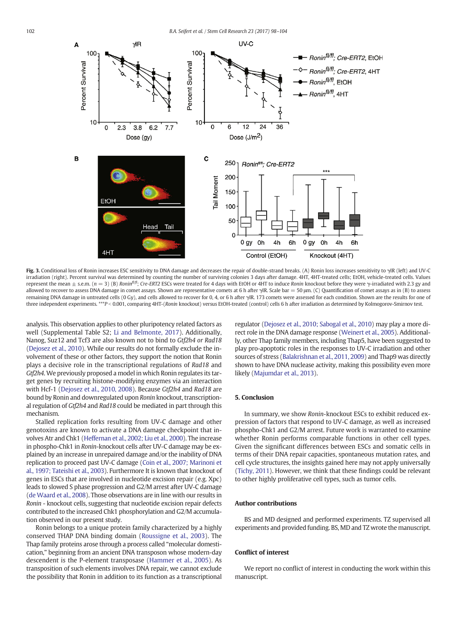<span id="page-4-0"></span>

Fig. 3. Conditional loss of Ronin increases ESC sensitivity to DNA damage and decreases the repair of double-strand breaks. (A) Ronin loss increases sensitivity to γIR (left) and UV-C irradiation (right). Percent survival was determined by counting the number of surviving colonies 3 days after damage. 4HT, 4HT-treated cells; EtOH, vehicle-treated cells. Values represent the mean  $\pm$  s.e.m. ( $n = 3$ ) (B) Ronin<sup> $n\theta$ , Cre-ERT2 ESCs were treated for 4 days with EtOH or 4HT to induce Ronin knockout before they were  $\gamma$ -irradiated with 2.3 gy and</sup> allowed to recover to assess DNA damage in comet assays. Shown are representative comets at 6 h after γIR. Scale bar = 50 μm. (C) Quantification of comet assays as in (B) to assess remaining DNA damage in untreated cells (0 Gy), and cells allowed to recover for 0, 4, or 6 h after γIR. 173 comets were assessed for each condition. Shown are the results for one of three independent experiments. \*\*\*P < 0.001, comparing 4HT-(Ronin knockout) versus EtOH-treated (control) cells 6 h after irradiation as determined by Kolmogorov-Smirnov test.

analysis. This observation applies to other pluripotency related factors as well (Supplemental Table S2; [Li and Belmonte, 2017](#page-5-0)). Additionally, Nanog, Suz12 and Tcf3 are also known not to bind to Gtf2h4 or Rad18 [\(Dejosez et al., 2010\)](#page-5-0). While our results do not formally exclude the involvement of these or other factors, they support the notion that Ronin plays a decisive role in the transcriptional regulations of Rad18 and Gtf2h4. We previously proposed a model in which Ronin regulates its target genes by recruiting histone-modifying enzymes via an interaction with Hcf-1 [\(Dejosez et al., 2010, 2008\)](#page-5-0). Because Gtf2h4 and Rad18 are bound by Ronin and downregulated upon Ronin knockout, transcriptional regulation of Gtf2h4 and Rad18 could be mediated in part through this mechanism.

Stalled replication forks resulting from UV-C damage and other genotoxins are known to activate a DNA damage checkpoint that involves Atr and Chk1 ([Heffernan et al., 2002; Liu et al., 2000\)](#page-5-0). The increase in phospho-Chk1 in Ronin-knockout cells after UV-C damage may be explained by an increase in unrepaired damage and/or the inability of DNA replication to proceed past UV-C damage [\(Coin et al., 2007; Marinoni et](#page-5-0) [al., 1997; Tateishi et al., 2003\)](#page-5-0). Furthermore It is known that knockout of genes in ESCs that are involved in nucleotide excision repair (e.g. Xpc) leads to slowed S phase progression and G2/M arrest after UV-C damage [\(de Waard et al., 2008](#page-6-0)). Those observations are in line with our results in Ronin - knockout cells, suggesting that nucleotide excision repair defects contributed to the increased Chk1 phosphorylation and G2/M accumulation observed in our present study.

Ronin belongs to a unique protein family characterized by a highly conserved THAP DNA binding domain ([Roussigne et al., 2003](#page-6-0)). The Thap family proteins arose through a process called "molecular domestication," beginning from an ancient DNA transposon whose modern-day descendent is the P-element transposase ([Hammer et al., 2005\)](#page-5-0). As transposition of such elements involves DNA repair, we cannot exclude the possibility that Ronin in addition to its function as a transcriptional regulator [\(Dejosez et al., 2010; Sabogal et al., 2010](#page-5-0)) may play a more direct role in the DNA damage response [\(Weinert et al., 2005](#page-6-0)). Additionally, other Thap family members, including Thap5, have been suggested to play pro-apoptotic roles in the responses to UV-C irradiation and other sources of stress ([Balakrishnan et al., 2011, 2009\)](#page-5-0) and Thap9 was directly shown to have DNA nuclease activity, making this possibility even more likely [\(Majumdar et al., 2013](#page-5-0)).

#### 5. Conclusion

In summary, we show Ronin-knockout ESCs to exhibit reduced expression of factors that respond to UV-C damage, as well as increased phospho-Chk1 and G2/M arrest. Future work is warranted to examine whether Ronin performs comparable functions in other cell types. Given the significant differences between ESCs and somatic cells in terms of their DNA repair capacities, spontaneous mutation rates, and cell cycle structures, the insights gained here may not apply universally [\(Tichy, 2011\)](#page-6-0). However, we think that these findings could be relevant to other highly proliferative cell types, such as tumor cells.

#### Author contributions

BS and MD designed and performed experiments. TZ supervised all experiments and provided funding. BS, MD and TZ wrote the manuscript.

#### Conflict of interest

We report no conflict of interest in conducting the work within this manuscript.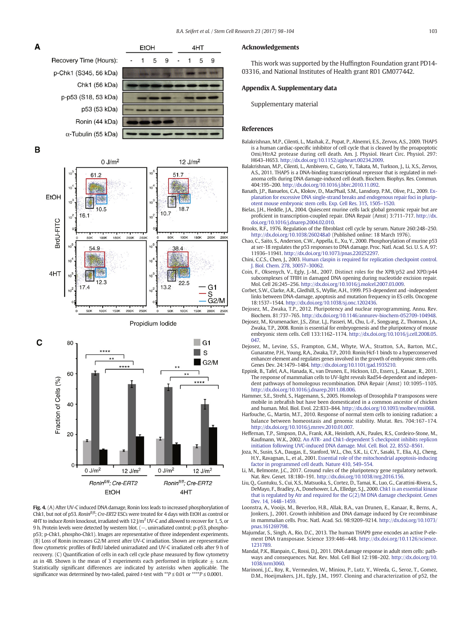<span id="page-5-0"></span>

B





Fig. 4. (A) After UV-C induced DNA damage, Ronin loss leads to increased phosphorylation of Chk1, but not of p53. Ronin<sup>fl/fl</sup>; Cre-ERT2 ESCs were treated for 4 days with EtOH as control or 4HT to induce Ronin knockout, irradiated with 12 J/m<sup>2</sup> UV-C and allowed to recover for 1, 5, or 9 h. Protein levels were detected by western blot. (–, unirradiated control; p-p53, phosphop53; p-Chk1, phospho-Chk1). Images are representative of three independent experiments. (B) Loss of Ronin increases G2/M arrest after UV-C irradiation. Shown are representative flow cytometric profiles of BrdU labeled unirradiated and UV-C irradiated cells after 9 h of recovery. (C) Quantification of cells in each cell cycle phase measured by flow cytometry as in 4B. Shown is the mean of 3 experiments each performed in triplicate  $\pm$  s.e.m. Statistically significant differences are indicated by asterisks when applicable. The significance was determined by two-tailed, paired t-test with  $^{**}P \le 0.01$  or  $^{****}P \le 0.0001$ .

#### Acknowledgements

This work was supported by the Huffington Foundation grant PD14- 03316, and National Institutes of Health grant R01 GM077442.

#### Appendix A. Supplementary data

Supplementary material

#### References

- Balakrishnan, M.P., Cilenti, L., Mashak, Z., Popat, P., Alnemri, E.S., Zervos, A.S., 2009. THAP5 is a human cardiac-specific inhibitor of cell cycle that is cleaved by the proapoptotic Omi/HtrA2 protease during cell death. Am. J. Physiol. Heart Circ. Physiol. 297: H643–H653. http://dx.doi.org/[10.1152/ajpheart.00234.2009.](http://dx.doi.org/10.1152/ajpheart.00234.2009)
- Balakrishnan, M.P., Cilenti, L., Ambivero, C., Goto, Y., Takata, M., Turkson, J., Li, X.S., Zervos, A.S., 2011. THAP5 is a DNA-binding transcriptional repressor that is regulated in melanoma cells during DNA damage-induced cell death. Biochem. Biophys. Res. Commun. 404:195–200. http://dx.doi.org/[10.1016/j.bbrc.2010.11.092](http://dx.doi.org/10.1016/j.bbrc.2010.11.092).
- Banath, J.P., Banuelos, C.A., Klokov, D., MacPhail, S.M., Lansdorp, P.M., Olive, P.L., 2009. [Ex](http://refhub.elsevier.com/S1873-5061(17)30122-8/rf0015)[planation for excessive DNA single-strand breaks and endogenous repair foci in plurip](http://refhub.elsevier.com/S1873-5061(17)30122-8/rf0015)[otent mouse embryonic stem cells. Exp. Cell Res. 315, 1505](http://refhub.elsevier.com/S1873-5061(17)30122-8/rf0015)–1520.
- Bielas, J.H., Heddle, J.A., 2004. Quiescent murine cells lack global genomic repair but are proficient in transcription-coupled repair. DNA Repair (Amst) 3:711–717. http://dx. doi.org[/10.1016/j.dnarep.2004.02.010.](http://dx.doi.org/10.1016/j.dnarep.2004.02.010)
- Brooks, R.F., 1976. Regulation of the fibroblast cell cycle by serum. Nature 260:248–250. http://dx.doi.org[/10.1038/260248a0](http://dx.doi.org/10.1038/260248a0) (Published online: 18 March 1976).
- Chao, C., Saito, S., Anderson, C.W., Appella, E., Xu, Y., 2000. Phosphorylation of murine p53 at ser-18 regulates the p53 responses to DNA damage. Proc. Natl. Acad. Sci. U. S. A. 97: 11936–11941. http://dx.doi.org/[10.1073/pnas.220252297](http://dx.doi.org/10.1073/pnas.220252297).
- Chini, C.C.S., Chen, J., 2003. [Human claspin is required for replication checkpoint control.](http://refhub.elsevier.com/S1873-5061(17)30122-8/rf0035) [J. Biol. Chem. 278, 30057](http://refhub.elsevier.com/S1873-5061(17)30122-8/rf0035)–30062.
- Coin, F., Oksenych, V., Egly, J.-M., 2007. Distinct roles for the XPB/p52 and XPD/p44 subcomplexes of TFIIH in damaged DNA opening during nucleotide excision repair. Mol. Cell 26:245–256. http://dx.doi.org[/10.1016/j.molcel.2007.03.009](http://dx.doi.org/10.1016/j.molcel.2007.03.009).
- Corbet, S.W., Clarke, A.R., Gledhill, S., Wyllie, A.H., 1999. P53-dependent and -independent links between DNA-damage, apoptosis and mutation frequency in ES cells. Oncogene 18:1537–1544. http://dx.doi.org/[10.1038/sj.onc.1202436.](http://dx.doi.org/10.1038/sj.onc.1202436)
- Dejosez, M., Zwaka, T.P., 2012. Pluripotency and nuclear reprogramming. Annu. Rev. Biochem. 81:737–765. http://dx.doi.org[/10.1146/annurev-biochem-052709-104948](http://dx.doi.org/10.1146/annurev-biochem-052709-104948).
- Dejosez, M., Krumenacker, J.S., Zitur, L.J., Passeri, M., Chu, L.-F., Songyang, Z., Thomson, J.A., Zwaka, T.P., 2008. Ronin is essential for embryogenesis and the pluripotency of mouse embryonic stem cells. Cell 133:1162–1174. http://dx.doi.org/[10.1016/j.cell.2008.05.](http://dx.doi.org/10.1016/j.cell.2008.05.047) [047.](http://dx.doi.org/10.1016/j.cell.2008.05.047)
- Dejosez, M., Levine, S.S., Frampton, G.M., Whyte, W.A., Stratton, S.A., Barton, M.C., Gunaratne, P.H., Young, R.A., Zwaka, T.P., 2010. Ronin/Hcf-1 binds to a hyperconserved enhancer element and regulates genes involved in the growth of embryonic stem cells. Genes Dev. 24:1479–1484. http://dx.doi.org[/10.1101/gad.1935210.](http://dx.doi.org/10.1101/gad.1935210)
- Eppink, B., Tafel, A.A., Hanada, K., van Drunen, E., Hickson, I.D., Essers, J., Kanaar, R., 2011. The response of mammalian cells to UV-light reveals Rad54-dependent and independent pathways of homologous recombination. DNA Repair (Amst) 10:1095–1105. http://dx.doi.org[/10.1016/j.dnarep.2011.08.006](http://dx.doi.org/10.1016/j.dnarep.2011.08.006).
- Hammer, S.E., Strehl, S., Hagemann, S., 2005. Homologs of Drosophila P transposons were mobile in zebrafish but have been domesticated in a common ancestor of chicken and human. Mol. Biol. Evol. 22:833–844. http://dx.doi.org[/10.1093/molbev/msi068](http://dx.doi.org/10.1093/molbev/msi068).
- Harfouche, G., Martin, M.T., 2010. Response of normal stem cells to ionizing radiation: a balance between homeostasis and genomic stability. Mutat. Res. 704:167–174. http://dx.doi.org[/10.1016/j.mrrev.2010.01.007.](http://dx.doi.org/10.1016/j.mrrev.2010.01.007)
- Heffernan, T.P., Simpson, D.A., Frank, A.R., Heinloth, A.N., Paules, R.S., Cordeiro-Stone, M., Kaufmann, W.K., 2002. [An ATR- and Chk1-dependent S checkpoint inhibits replicon](http://refhub.elsevier.com/S1873-5061(17)30122-8/rf0080) [initiation following UVC-induced DNA damage. Mol. Cell. Biol. 22, 8552](http://refhub.elsevier.com/S1873-5061(17)30122-8/rf0080)–8561. Joza, N., Susin, S.A., Daugas, E., Stanford, W.L., Cho, S.K., Li, C.Y., Sasaki, T., Elia, A.J., Cheng,
- H.Y., Ravagnan, L., et al., 2001. [Essential role of the mitochondrial apoptosis-inducing](http://refhub.elsevier.com/S1873-5061(17)30122-8/rf0085) [factor in programmed cell death. Nature 410, 549](http://refhub.elsevier.com/S1873-5061(17)30122-8/rf0085)–554.
- Li, M., Belmonte, J.C., 2017. Ground rules of the pluripotency gene regulatory network. Nat. Rev. Genet. 18:180–191. http://dx.doi.org/[10.1038/nrg.2016.156.](http://dx.doi.org/10.1038/nrg.2016.156)
- Liu, Q., Guntuku, S., Cui, X.S., Matsuoka, S., Cortez, D., Tamai, K., Luo, G., Carattini-Rivera, S., DeMayo, F., Bradley, A., Donehower, L.A., Elledge, S.J., 2000. [Chk1 is an essential kinase](http://refhub.elsevier.com/S1873-5061(17)30122-8/rf0095) [that is regulated by Atr and required for the G\(2\)/M DNA damage checkpoint. Genes](http://refhub.elsevier.com/S1873-5061(17)30122-8/rf0095) [Dev. 14, 1448](http://refhub.elsevier.com/S1873-5061(17)30122-8/rf0095)–1459.
- Loonstra, A., Vooijs, M., Beverloo, H.B., Allak, B.A., van Drunen, E., Kanaar, R., Berns, A., Jonkers, J., 2001. Growth inhibition and DNA damage induced by Cre recombinase in mammalian cells. Proc. Natl. Acad. Sci. 98:9209–9214. http://dx.doi.org[/10.1073/](http://dx.doi.org/10.1073/pnas.161269798) [pnas.161269798](http://dx.doi.org/10.1073/pnas.161269798).
- Majumdar, S., Singh, A., Rio, D.C., 2013. The human THAP9 gene encodes an active P-element DNA transposase. Science 339:446–448. http://dx.doi.org[/10.1126/science.](http://dx.doi.org/10.1126/science.1231789) [1231789](http://dx.doi.org/10.1126/science.1231789).
- Mandal, P.K., Blanpain, C., Rossi, D.J., 2011. DNA damage response in adult stem cells: pathways and consequences. Nat. Rev. Mol. Cell Biol 12:198–202. http://dx.doi.org/[10.](http://dx.doi.org/10.1038/nrm3060) [1038/nrm3060.](http://dx.doi.org/10.1038/nrm3060)
- Marinoni, J.C., Roy, R., Vermeulen, W., Miniou, P., Lutz, Y., Weeda, G., Seroz, T., Gomez, D.M., Hoeijmakers, J.H., Egly, J.M., 1997. Cloning and characterization of p52, the